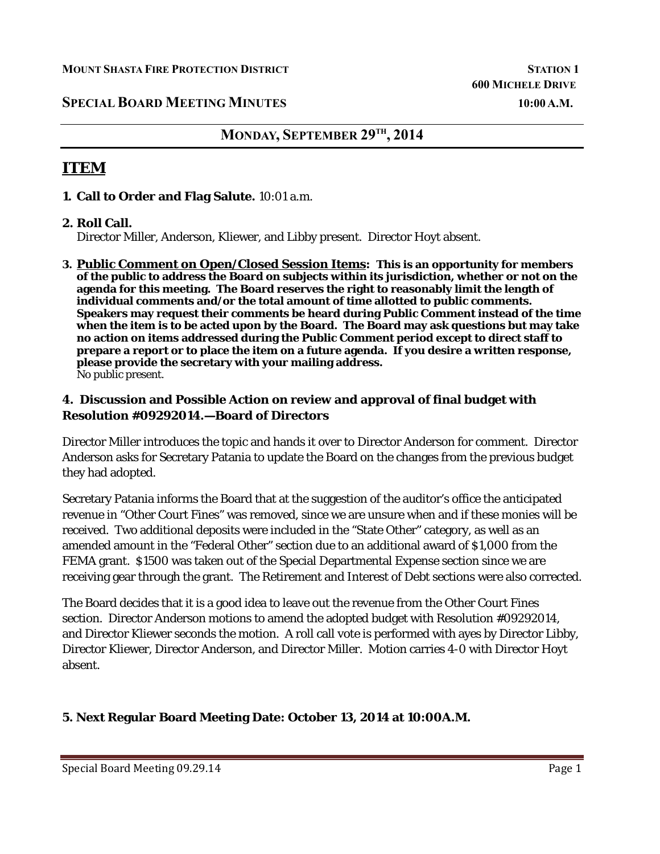## **SPECIAL BOARD MEETING MINUTES** 10:00 A.M.

# **MONDAY, SEPTEMBER 29TH , 2014**

# **ITEM**

#### **1. Call to Order and Flag Salute.** 10:01 a.m.

#### **2. Roll Call.**

Director Miller, Anderson, Kliewer, and Libby present. Director Hoyt absent.

**3. Public Comment on Open/Closed Session Items: This is an opportunity for members of the public to address the Board on subjects within its jurisdiction, whether or not on the agenda for this meeting. The Board reserves the right to reasonably limit the length of individual comments and/or the total amount of time allotted to public comments. Speakers may request their comments be heard during Public Comment instead of the time when the item is to be acted upon by the Board. The Board may ask questions but may take no action on items addressed during the Public Comment period except to direct staff to prepare a report or to place the item on a future agenda. If you desire a written response, please provide the secretary with your mailing address.**  No public present.

#### **4. Discussion and Possible Action on review and approval of final budget with Resolution #09292014.—Board of Directors**

Director Miller introduces the topic and hands it over to Director Anderson for comment. Director Anderson asks for Secretary Patania to update the Board on the changes from the previous budget they had adopted.

Secretary Patania informs the Board that at the suggestion of the auditor's office the anticipated revenue in "Other Court Fines" was removed, since we are unsure when and if these monies will be received. Two additional deposits were included in the "State Other" category, as well as an amended amount in the "Federal Other" section due to an additional award of \$1,000 from the FEMA grant. \$1500 was taken out of the Special Departmental Expense section since we are receiving gear through the grant. The Retirement and Interest of Debt sections were also corrected.

The Board decides that it is a good idea to leave out the revenue from the Other Court Fines section. Director Anderson motions to amend the adopted budget with Resolution #09292014, and Director Kliewer seconds the motion. A roll call vote is performed with ayes by Director Libby, Director Kliewer, Director Anderson, and Director Miller. Motion carries 4-0 with Director Hoyt absent.

### **5. Next Regular Board Meeting Date: October 13, 2014 at 10:00A.M.**